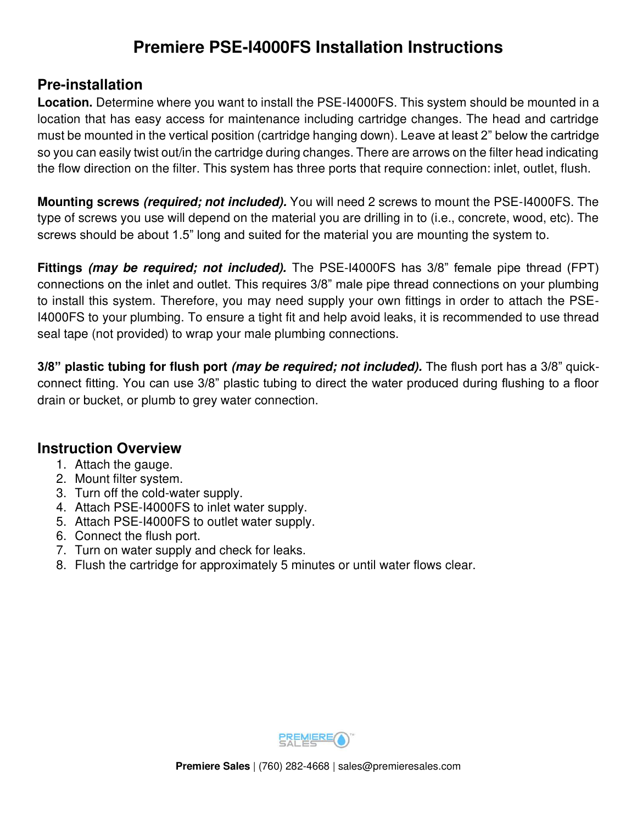# **Premiere PSE-I4000FS Installation Instructions**

## **Pre-installation**

**Location.** Determine where you want to install the PSE-I4000FS. This system should be mounted in a location that has easy access for maintenance including cartridge changes. The head and cartridge must be mounted in the vertical position (cartridge hanging down). Leave at least 2" below the cartridge so you can easily twist out/in the cartridge during changes. There are arrows on the filter head indicating the flow direction on the filter. This system has three ports that require connection: inlet, outlet, flush.

**Mounting screws (required; not included).** You will need 2 screws to mount the PSE-I4000FS. The type of screws you use will depend on the material you are drilling in to (i.e., concrete, wood, etc). The screws should be about 1.5" long and suited for the material you are mounting the system to.

**Fittings (may be required; not included).** The PSE-I4000FS has 3/8" female pipe thread (FPT) connections on the inlet and outlet. This requires 3/8" male pipe thread connections on your plumbing to install this system. Therefore, you may need supply your own fittings in order to attach the PSE-I4000FS to your plumbing. To ensure a tight fit and help avoid leaks, it is recommended to use thread seal tape (not provided) to wrap your male plumbing connections.

**3/8" plastic tubing for flush port (may be required; not included).** The flush port has a 3/8" quickconnect fitting. You can use 3/8" plastic tubing to direct the water produced during flushing to a floor drain or bucket, or plumb to grey water connection.

#### **Instruction Overview**

- 1. Attach the gauge.
- 2. Mount filter system.
- 3. Turn off the cold-water supply.
- 4. Attach PSE-I4000FS to inlet water supply.
- 5. Attach PSE-I4000FS to outlet water supply.
- 6. Connect the flush port.
- 7. Turn on water supply and check for leaks.
- 8. Flush the cartridge for approximately 5 minutes or until water flows clear.

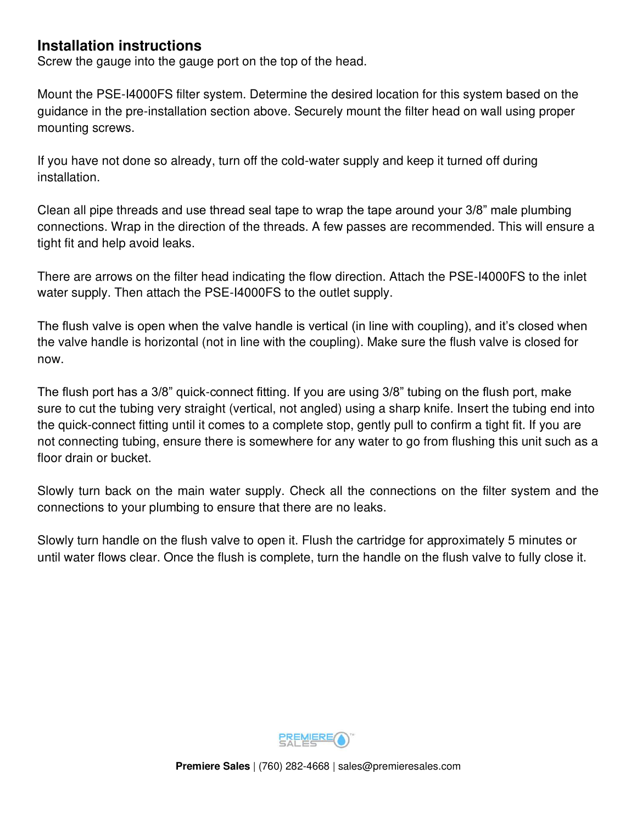## **Installation instructions**

Screw the gauge into the gauge port on the top of the head.

Mount the PSE-I4000FS filter system. Determine the desired location for this system based on the guidance in the pre-installation section above. Securely mount the filter head on wall using proper mounting screws.

If you have not done so already, turn off the cold-water supply and keep it turned off during installation.

Clean all pipe threads and use thread seal tape to wrap the tape around your 3/8" male plumbing connections. Wrap in the direction of the threads. A few passes are recommended. This will ensure a tight fit and help avoid leaks.

There are arrows on the filter head indicating the flow direction. Attach the PSE-I4000FS to the inlet water supply. Then attach the PSE-I4000FS to the outlet supply.

The flush valve is open when the valve handle is vertical (in line with coupling), and it's closed when the valve handle is horizontal (not in line with the coupling). Make sure the flush valve is closed for now.

The flush port has a 3/8" quick-connect fitting. If you are using 3/8" tubing on the flush port, make sure to cut the tubing very straight (vertical, not angled) using a sharp knife. Insert the tubing end into the quick-connect fitting until it comes to a complete stop, gently pull to confirm a tight fit. If you are not connecting tubing, ensure there is somewhere for any water to go from flushing this unit such as a floor drain or bucket.

Slowly turn back on the main water supply. Check all the connections on the filter system and the connections to your plumbing to ensure that there are no leaks.

Slowly turn handle on the flush valve to open it. Flush the cartridge for approximately 5 minutes or until water flows clear. Once the flush is complete, turn the handle on the flush valve to fully close it.